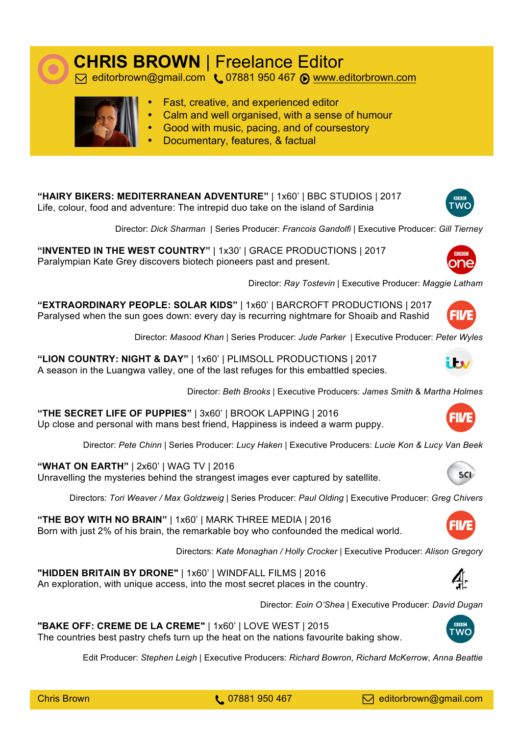

## **CHRIS BROWN** | Freelance Editor<br> **S** editorbrown@gmail.com (07881 950 467 @ www.editorbrown.com



- Fast, creative, and experienced editor
- Calm and well organised, with a sense of humour
- Good with music, pacing, and of coursestory
- Documentary, features, & factual

**"HAIRY BIKERS: MEDITERRANEAN ADVENTURE"** | 1x60' | BBC STUDIOS | 2017 Life, colour, food and adventure: The intrepid duo take on the island of Sardinia

Director: *Dick Sharman* | Series Producer: *Francois Gandolfi* | Executive Producer: *Gill Tierney*

**"INVENTED IN THE WEST COUNTRY"** | 1x30' | GRACE PRODUCTIONS | 2017 Paralympian Kate Grey discovers biotech pioneers past and present.



FILÆ

i Fsy

Director: *Ray Tostevin* | Executive Producer: *Maggie Latham*

**"EXTRAORDINARY PEOPLE: SOLAR KIDS"** | 1x60' | BARCROFT PRODUCTIONS | 2017 Paralysed when the sun goes down: every day is recurring nightmare for Shoaib and Rashid

Director: *Masood Khan* | Series Producer: *Jude Parker* | Executive Producer: *Peter Wyles*

**"LION COUNTRY: NIGHT & DAY"** | 1x60' | PLIMSOLL PRODUCTIONS | 2017 A season in the Luangwa valley, one of the last refuges for this embattled species.

Director: *Beth Brooks* | Executive Producers: *James Smith* & *Martha Holmes*

**"THE SECRET LIFE OF PUPPIES"** | 3x60' | BROOK LAPPING | 2016 Up close and personal with mans best friend, Happiness is indeed a warm puppy.

Director: *Pete Chinn* | Series Producer: *Lucy Haken* | Executive Producers: *Lucie Kon & Lucy Van Beek*

**"WHAT ON EARTH"** | 2x60' | WAG TV | 2016 Unravelling the mysteries behind the strangest images ever captured by satellite.

Directors: *Tori Weaver / Max Goldzweig* | Series Producer: *Paul Olding* | Executive Producer: *Greg Chivers*

**"THE BOY WITH NO BRAIN"** | 1x60' | MARK THREE MEDIA | 2016 Born with just 2% of his brain, the remarkable boy who confounded the medical world.

Directors: *Kate Monaghan / Holly Crocker* | Executive Producer: *Alison Gregory*

**"HIDDEN BRITAIN BY DRONE"** | 1x60' | WINDFALL FILMS | 2016

**"BAKE OFF: CREME DE LA CREME"** | 1x60' | LOVE WEST | 2015

An exploration, with unique access, into the most secret places in the country.

Director: *Eoin O'Shea* | Executive Producer: *David Dugan*

The countries best pastry chefs turn up the heat on the nations favourite baking show. Edit Producer: *Stephen Leigh* | Executive Producers: *Richard Bowron*, *Richard McKerrow*, *Anna Beattie*



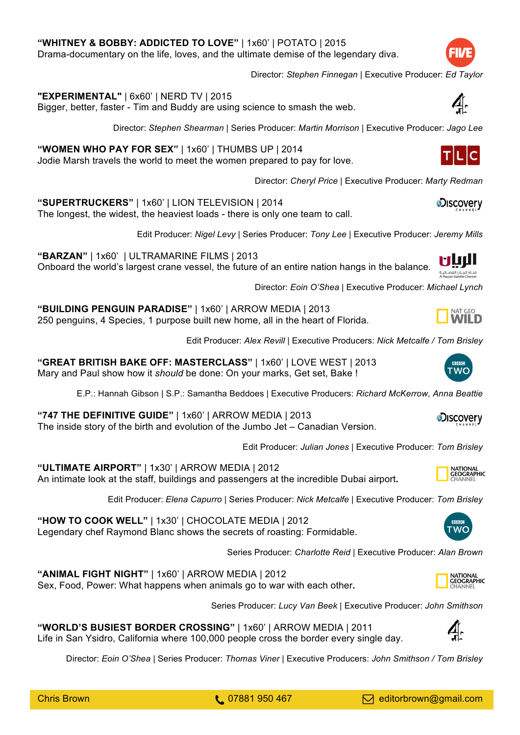**"BUILDING PENGUIN PARADISE"** | 1x60' | ARROW MEDIA | 2013 250 penguins, 4 Species, 1 purpose built new home, all in the heart of Florida.

Edit Producer: *Alex Revill* | Executive Producers: *Nick Metcalfe / Tom Brisley*

**"GREAT BRITISH BAKE OFF: MASTERCLASS"** | 1x60' | LOVE WEST | 2013 Mary and Paul show how it *should* be done: On your marks, Get set, Bake !

E.P.: Hannah Gibson | S.P.: Samantha Beddoes | Executive Producers: *Richard McKerrow*, *Anna Beattie*

**"747 THE DEFINITIVE GUIDE"** | 1x60' | ARROW MEDIA | 2013 The inside story of the birth and evolution of the Jumbo Jet – Canadian Version.

Edit Producer: *Julian Jones* | Executive Producer: *Tom Brisley*

**"ULTIMATE AIRPORT"** | 1x30' | ARROW MEDIA | 2012 An intimate look at the staff, buildings and passengers at the incredible Dubai airport**.**

Edit Producer: *Elena Capurro* | Series Producer: *Nick Metcalfe* | Executive Producer: *Tom Brisley*

**"HOW TO COOK WELL"** | 1x30' | CHOCOLATE MEDIA | 2012 Legendary chef Raymond Blanc shows the secrets of roasting: Formidable.

Series Producer: *Charlotte Reid* | Executive Producer: *Alan Brown*

**"ANIMAL FIGHT NIGHT"** | 1x60' | ARROW MEDIA | 2012 Sex, Food, Power: What happens when animals go to war with each other**.**

Series Producer: *Lucy Van Beek* | Executive Producer: *John Smithson*

**"WORLD'S BUSIEST BORDER CROSSING"** | 1x60' | ARROW MEDIA | 2011 Life in San Ysidro, California where 100,000 people cross the border every single day.

Director: *Eoin O'Shea* | Series Producer: *Thomas Viner* | Executive Producers: *John Smithson / Tom Brisley*

Director: *Stephen Finnegan* | Executive Producer: *Ed Taylor*

**"EXPERIMENTAL"** | 6x60' | NERD TV | 2015

Bigger, better, faster - Tim and Buddy are using science to smash the web.

Drama-documentary on the life, loves, and the ultimate demise of the legendary diva.

Director: *Stephen Shearman* | Series Producer: *Martin Morrison* | Executive Producer: *Jago Lee*

**"WOMEN WHO PAY FOR SEX"** | 1x60' | THUMBS UP | 2014 Jodie Marsh travels the world to meet the women prepared to pay for love.

**"WHITNEY & BOBBY: ADDICTED TO LOVE"** | 1x60' | POTATO | 2015

Director: *Cheryl Price* | Executive Producer: *Marty Redman*

**"SUPERTRUCKERS"** | 1x60' | LION TELEVISION | 2014 The longest, the widest, the heaviest loads - there is only one team to call.

Edit Producer: *Nigel Levy* | Series Producer: *Tony Lee* | Executive Producer: *Jeremy Mills*

**"BARZAN"** | 1x60' | ULTRAMARINE FILMS | 2013 Onboard the world's largest crane vessel, the future of an entire nation hangs in the balance. ة الريـان الغضـائيـة

Director: *Eoin O'Shea* | Executive Producer: *Michael Lynch*

**WC** 



**D**iscovery



WC









**LIC** 

**aDiscovery**